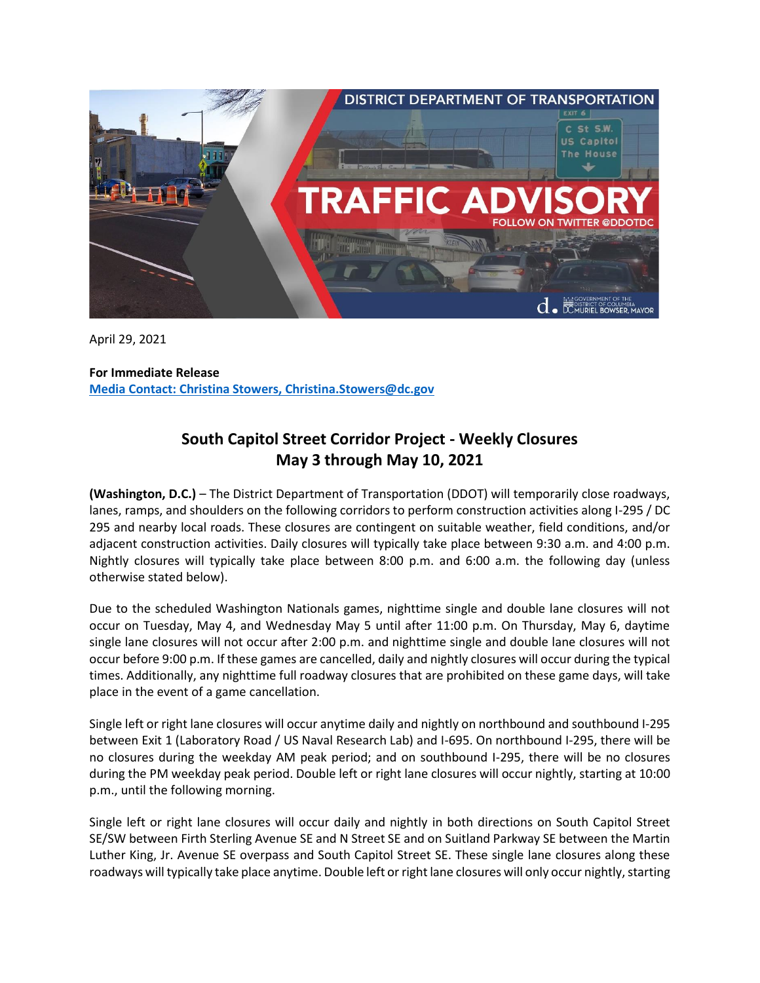

April 29, 2021

**For Immediate Release Media Contact: Christina Stowers, Christina.Stowers@dc.gov**

## **South Capitol Street Corridor Project - Weekly Closures May 3 through May 10, 2021**

**(Washington, D.C.)** – The District Department of Transportation (DDOT) will temporarily close roadways, lanes, ramps, and shoulders on the following corridors to perform construction activities along I-295 / DC 295 and nearby local roads. These closures are contingent on suitable weather, field conditions, and/or adjacent construction activities. Daily closures will typically take place between 9:30 a.m. and 4:00 p.m. Nightly closures will typically take place between 8:00 p.m. and 6:00 a.m. the following day (unless otherwise stated below).

Due to the scheduled Washington Nationals games, nighttime single and double lane closures will not occur on Tuesday, May 4, and Wednesday May 5 until after 11:00 p.m. On Thursday, May 6, daytime single lane closures will not occur after 2:00 p.m. and nighttime single and double lane closures will not occur before 9:00 p.m. If these games are cancelled, daily and nightly closures will occur during the typical times. Additionally, any nighttime full roadway closures that are prohibited on these game days, will take place in the event of a game cancellation.

Single left or right lane closures will occur anytime daily and nightly on northbound and southbound I-295 between Exit 1 (Laboratory Road / US Naval Research Lab) and I-695. On northbound I-295, there will be no closures during the weekday AM peak period; and on southbound I-295, there will be no closures during the PM weekday peak period. Double left or right lane closures will occur nightly, starting at 10:00 p.m., until the following morning.

Single left or right lane closures will occur daily and nightly in both directions on South Capitol Street SE/SW between Firth Sterling Avenue SE and N Street SE and on Suitland Parkway SE between the Martin Luther King, Jr. Avenue SE overpass and South Capitol Street SE. These single lane closures along these roadways will typically take place anytime. Double left or right lane closures will only occur nightly, starting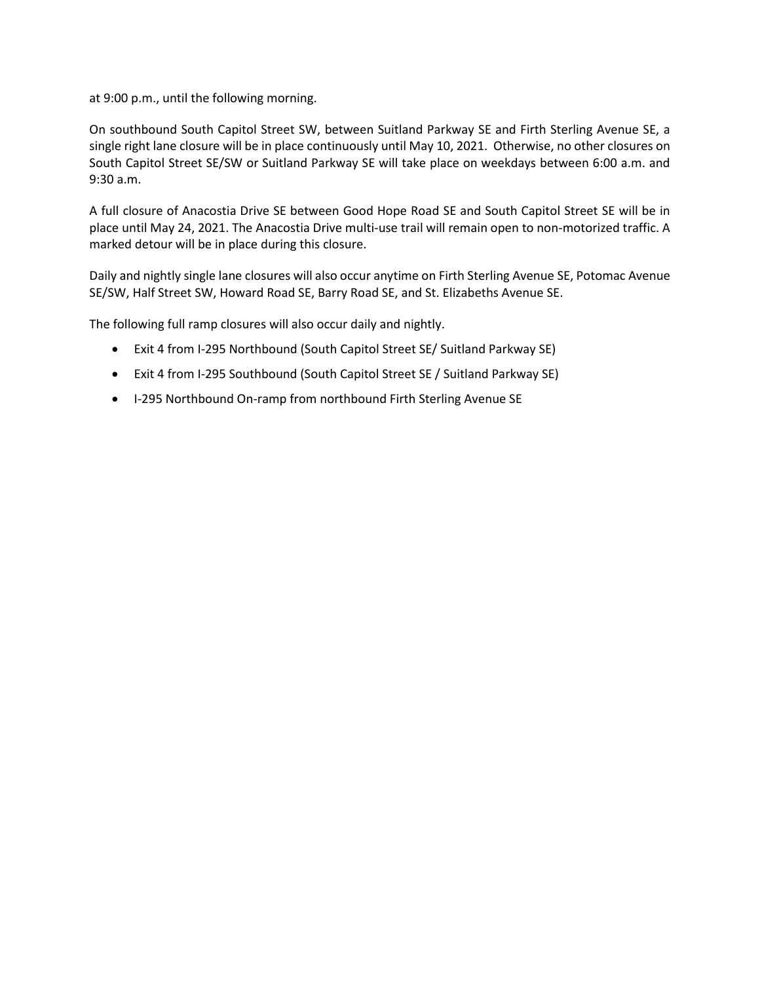at 9:00 p.m., until the following morning.

On southbound South Capitol Street SW, between Suitland Parkway SE and Firth Sterling Avenue SE, a single right lane closure will be in place continuously until May 10, 2021. Otherwise, no other closures on South Capitol Street SE/SW or Suitland Parkway SE will take place on weekdays between 6:00 a.m. and 9:30 a.m.

A full closure of Anacostia Drive SE between Good Hope Road SE and South Capitol Street SE will be in place until May 24, 2021. The Anacostia Drive multi-use trail will remain open to non-motorized traffic. A marked detour will be in place during this closure.

Daily and nightly single lane closures will also occur anytime on Firth Sterling Avenue SE, Potomac Avenue SE/SW, Half Street SW, Howard Road SE, Barry Road SE, and St. Elizabeths Avenue SE.

The following full ramp closures will also occur daily and nightly.

- Exit 4 from I-295 Northbound (South Capitol Street SE/ Suitland Parkway SE)
- Exit 4 from I-295 Southbound (South Capitol Street SE / Suitland Parkway SE)
- I-295 Northbound On-ramp from northbound Firth Sterling Avenue SE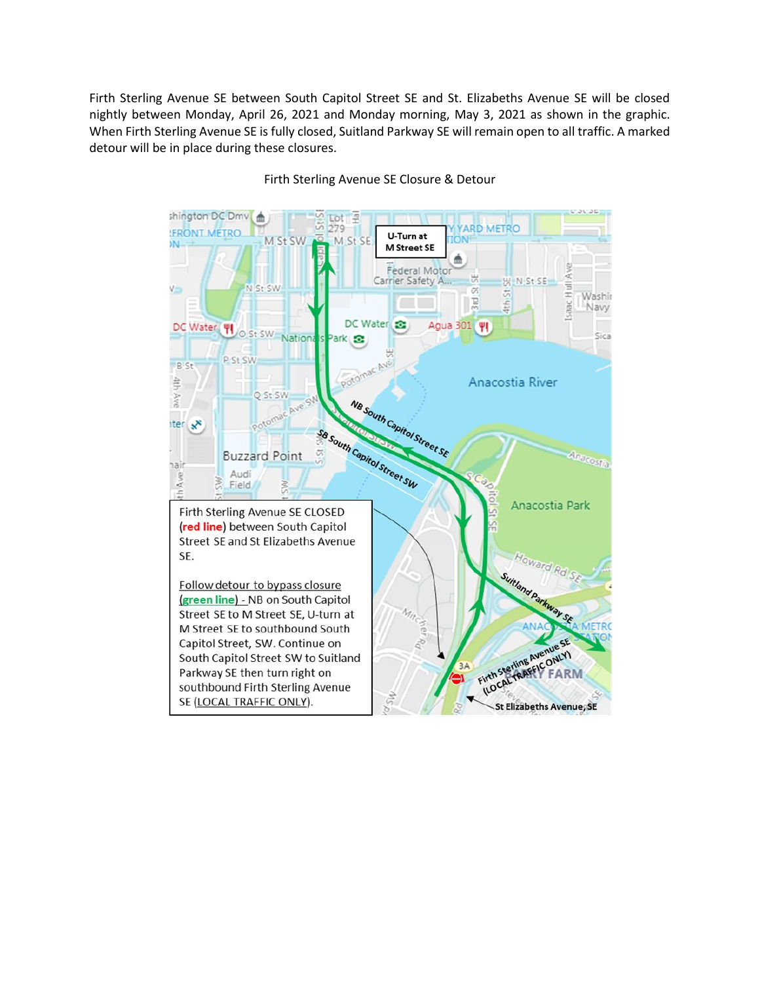Firth Sterling Avenue SE between South Capitol Street SE and St. Elizabeths Avenue SE will be closed nightly between Monday, April 26, 2021 and Monday morning, May 3, 2021 as shown in the graphic. When Firth Sterling Avenue SE is fully closed, Suitland Parkway SE will remain open to all traffic. A marked detour will be in place during these closures.



Firth Sterling Avenue SE Closure & Detour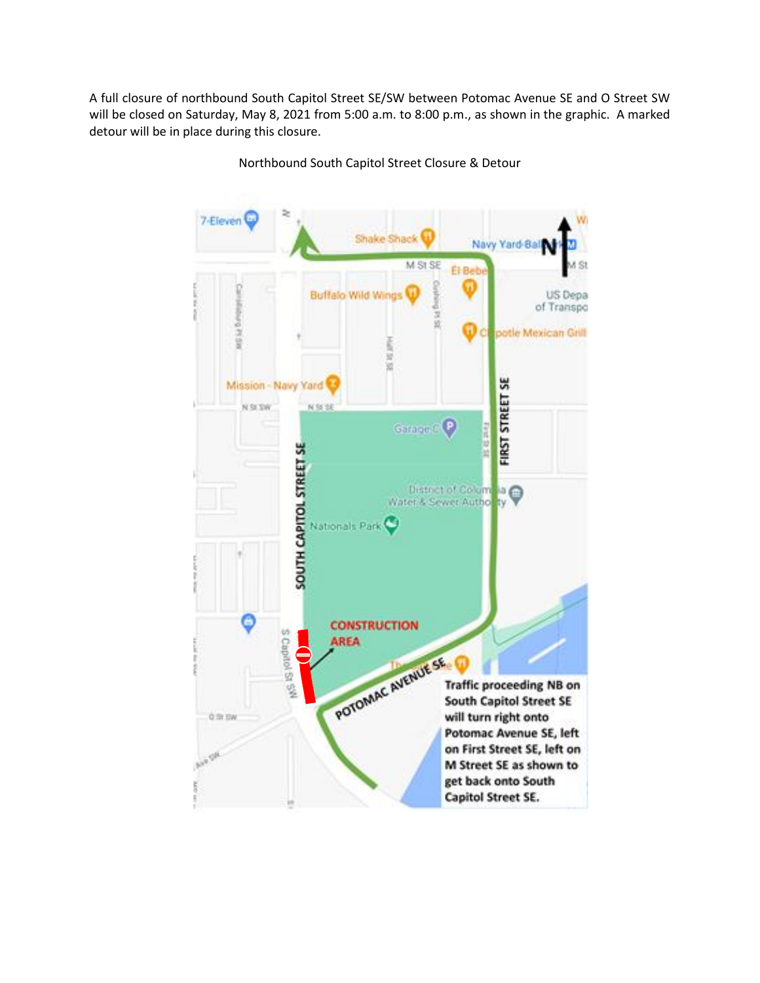A full closure of northbound South Capitol Street SE/SW between Potomac Avenue SE and O Street SW will be closed on Saturday, May 8, 2021 from 5:00 a.m. to 8:00 p.m., as shown in the graphic. A marked detour will be in place during this closure.

> 7-Eleven Shake Shack Navy Yard-Bal M St SE S1 **El Bel Buffalo Wild Wind** US Depa argua Banquia of Transpo 1514 potle Mexican Grill ū ä **FIRST STREET SE** Mission - Navy Yard N SI SW N St 36 Garage C P **SOUTH CAPITOL STREET SE** District of Column and<br>Water & Sewer Author ty Nationals Park **CONSTRUCTION** S Capitol St 5<sup>99</sup> AREA<br>POTOMAC AVENUE SE Traff **AREA Traffic proceeding NB on South Capitol Street SE** will turn right onto 0 ft ftw Potomac Avenue SE, left on First Street SE, left on M Street SE as shown to get back onto South Capitol Street SE.

Northbound South Capitol Street Closure & Detour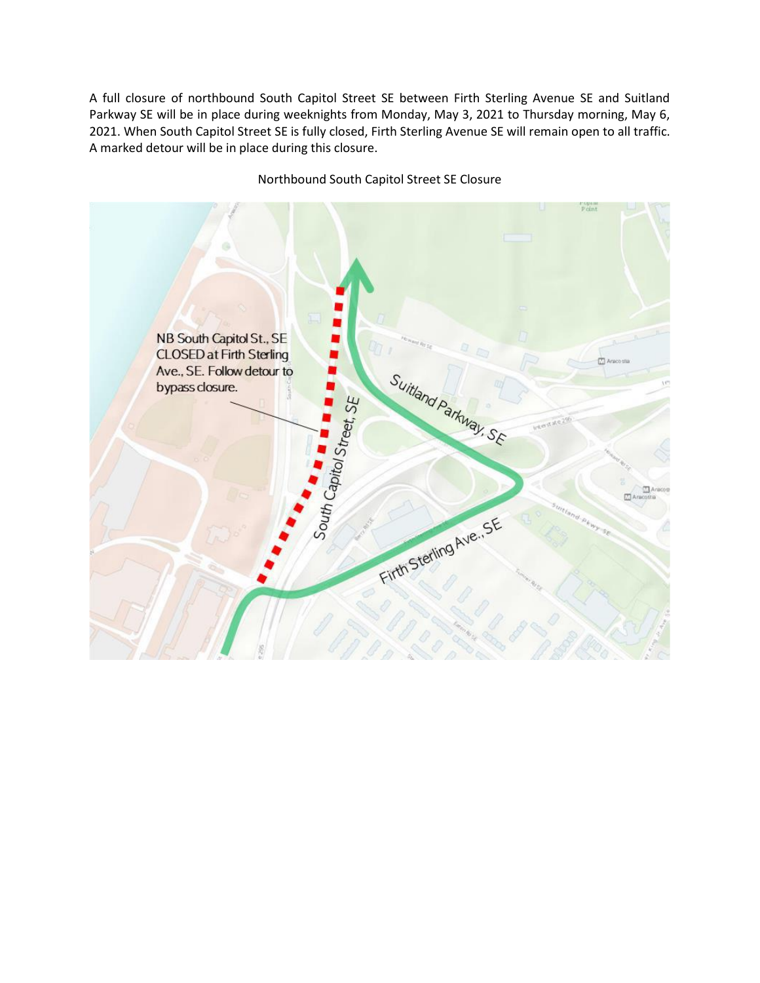A full closure of northbound South Capitol Street SE between Firth Sterling Avenue SE and Suitland Parkway SE will be in place during weeknights from Monday, May 3, 2021 to Thursday morning, May 6, 2021. When South Capitol Street SE is fully closed, Firth Sterling Avenue SE will remain open to all traffic. A marked detour will be in place during this closure.



## Northbound South Capitol Street SE Closure